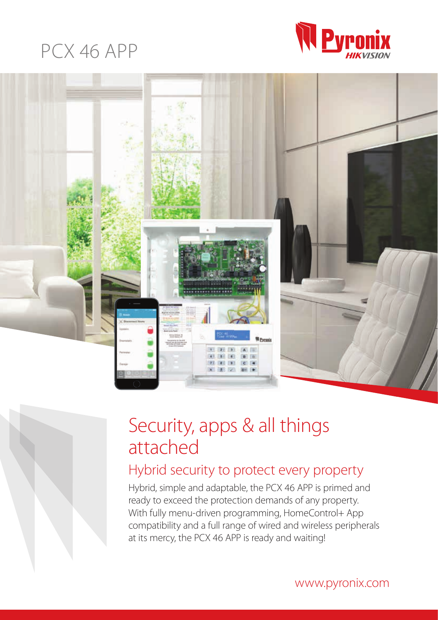### PCX 46 APP





## Security, apps & all things attached

### Hybrid security to protect every property

Hybrid, simple and adaptable, the PCX 46 APP is primed and ready to exceed the protection demands of any property. With fully menu-driven programming, HomeControl+ App compatibility and a full range of wired and wireless peripherals at its mercy, the PCX 46 APP is ready and waiting!